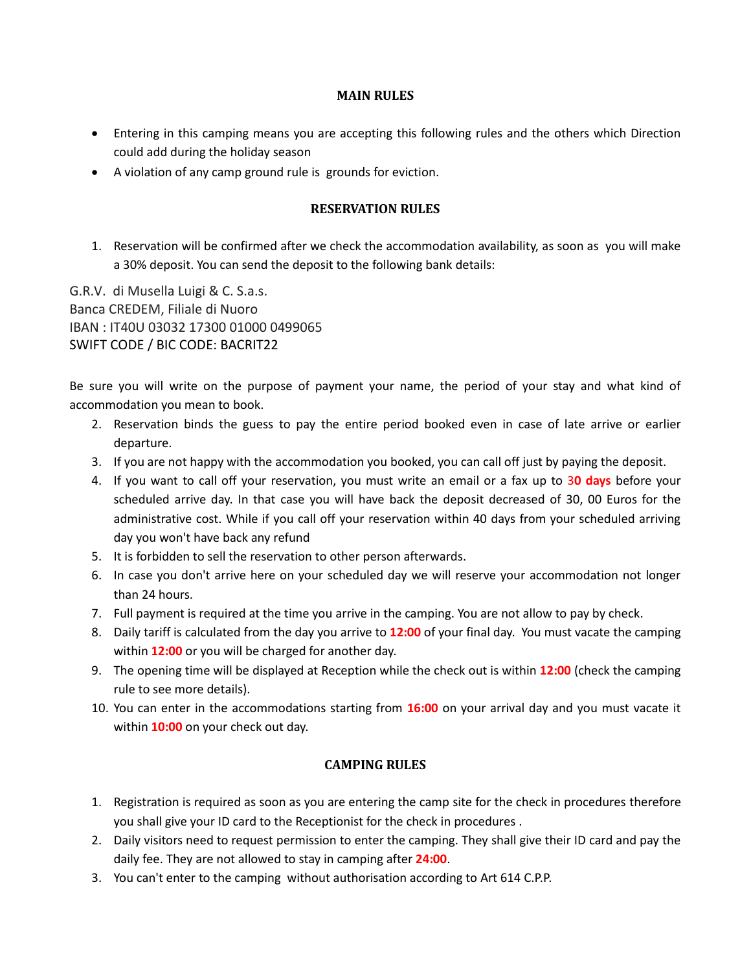## **MAIN RULES**

- Entering in this camping means you are accepting this following rules and the others which Direction could add during the holiday season
- A violation of any camp ground rule is grounds for eviction.

## **RESERVATION RULES**

1. Reservation will be confirmed after we check the accommodation availability, as soon as you will make a 30% deposit. You can send the deposit to the following bank details:

G.R.V. di Musella Luigi & C. S.a.s. Banca CREDEM, Filiale di Nuoro IBAN : IT40U 03032 17300 01000 0499065 SWIFT CODE / BIC CODE: BACRIT22

Be sure you will write on the purpose of payment your name, the period of your stay and what kind of accommodation you mean to book.

- 2. Reservation binds the guess to pay the entire period booked even in case of late arrive or earlier departure.
- 3. If you are not happy with the accommodation you booked, you can call off just by paying the deposit.
- 4. If you want to call off your reservation, you must write an email or a fax up to 3**0 days** before your scheduled arrive day. In that case you will have back the deposit decreased of 30, 00 Euros for the administrative cost. While if you call off your reservation within 40 days from your scheduled arriving day you won't have back any refund
- 5. It is forbidden to sell the reservation to other person afterwards.
- 6. In case you don't arrive here on your scheduled day we will reserve your accommodation not longer than 24 hours.
- 7. Full payment is required at the time you arrive in the camping. You are not allow to pay by check.
- 8. Daily tariff is calculated from the day you arrive to **12:00** of your final day. You must vacate the camping within **12:00** or you will be charged for another day.
- 9. The opening time will be displayed at Reception while the check out is within **12:00** (check the camping rule to see more details).
- 10. You can enter in the accommodations starting from **16:00** on your arrival day and you must vacate it within **10:00** on your check out day.

## **CAMPING RULES**

- 1. Registration is required as soon as you are entering the camp site for the check in procedures therefore you shall give your ID card to the Receptionist for the check in procedures .
- 2. Daily visitors need to request permission to enter the camping. They shall give their ID card and pay the daily fee. They are not allowed to stay in camping after **24:00**.
- 3. You can't enter to the camping without authorisation according to Art 614 C.P.P.